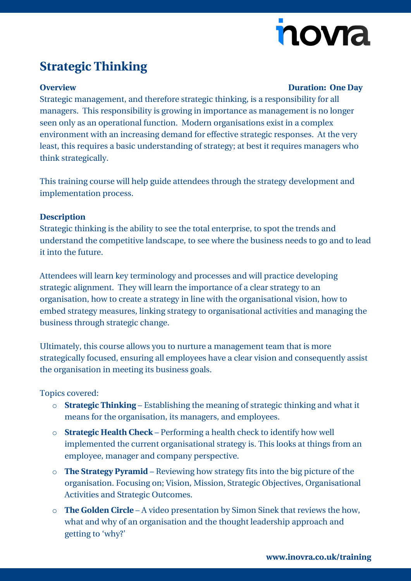# novra

## **Strategic Thinking**

### **Overview Duration: One Day**

Strategic management, and therefore strategic thinking, is a responsibility for all managers. This responsibility is growing in importance as management is no longer seen only as an operational function. Modern organisations exist in a complex environment with an increasing demand for effective strategic responses. At the very least, this requires a basic understanding of strategy; at best it requires managers who think strategically.

This training course will help guide attendees through the strategy development and implementation process.

### **Description**

Strategic thinking is the ability to see the total enterprise, to spot the trends and understand the competitive landscape, to see where the business needs to go and to lead it into the future.

Attendees will learn key terminology and processes and will practice developing strategic alignment. They will learn the importance of a clear strategy to an organisation, how to create a strategy in line with the organisational vision, how to embed strategy measures, linking strategy to organisational activities and managing the business through strategic change.

Ultimately, this course allows you to nurture a management team that is more strategically focused, ensuring all employees have a clear vision and consequently assist the organisation in meeting its business goals.

### Topics covered:

- o **Strategic Thinking** Establishing the meaning of strategic thinking and what it means for the organisation, its managers, and employees.
- o **Strategic Health Check** Performing a health check to identify how well implemented the current organisational strategy is. This looks at things from an employee, manager and company perspective.
- o **The Strategy Pyramid** Reviewing how strategy fits into the big picture of the organisation. Focusing on; Vision, Mission, Strategic Objectives, Organisational Activities and Strategic Outcomes.
- o **The Golden Circle** A video presentation by Simon Sinek that reviews the how, what and why of an organisation and the thought leadership approach and getting to 'why?'